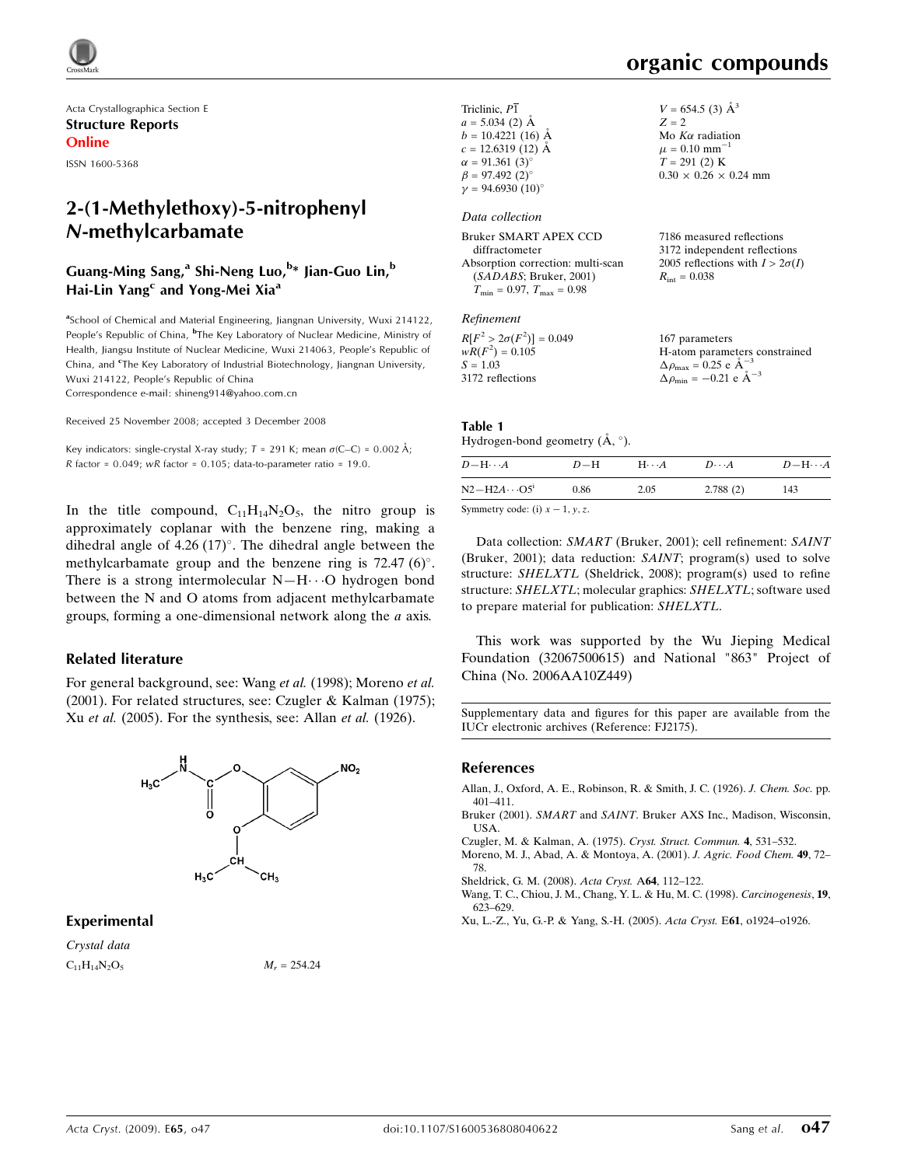Acta Crystallographica Section E Structure Reports Online

ISSN 1600-5368

## 2-(1-Methylethoxy)-5-nitrophenyl *N*-methylcarbamate

#### Guang-Ming Sang,<sup>a</sup> Shi-Neng Luo,<sup>b</sup>\* Jian-Guo Lin,<sup>b</sup> Hai-Lin Yang<sup>c</sup> and Yong-Mei Xia<sup>a</sup>

<sup>a</sup>School of Chemical and Material Engineering, Jiangnan University, Wuxi 214122, People's Republic of China, <sup>b</sup>The Key Laboratory of Nuclear Medicine, Ministry of Health, Jiangsu Institute of Nuclear Medicine, Wuxi 214063, People's Republic of China, and <sup>c</sup>The Key Laboratory of Industrial Biotechnology, Jiangnan University, Wuxi 214122, People's Republic of China

Correspondence e-mail: shineng914@yahoo.com.cn

Received 25 November 2008; accepted 3 December 2008

Key indicators: single-crystal X-ray study;  $T = 291$  K; mean  $\sigma$ (C–C) = 0.002 Å;  $R$  factor = 0.049; w $R$  factor = 0.105; data-to-parameter ratio = 19.0.

In the title compound,  $C_{11}H_{14}N_2O_5$ , the nitro group is approximately coplanar with the benzene ring, making a dihedral angle of  $4.26 (17)^\circ$ . The dihedral angle between the methylcarbamate group and the benzene ring is  $72.47 (6)$ °. There is a strong intermolecular  $N-H\cdots O$  hydrogen bond between the N and O atoms from adjacent methylcarbamate groups, forming a one-dimensional network along the a axis.

#### Related literature

For general background, see: Wang et al. (1998); Moreno et al. (2001). For related structures, see: Czugler & Kalman (1975); Xu et al. (2005). For the synthesis, see: Allan et al. (1926).



#### Experimental

Crystal data  $C_{11}H_{14}N_2O_5$   $M_r = 254.24$ 

# organic compounds

 $2\sigma(I)$ 

| Triclinic, P1<br>$a = 5.034$ (2) Å<br>$b = 10.4221(16)$ Å<br>$c = 12.6319(12)$ Å<br>$\alpha = 91.361(3)$ °<br>$\beta = 97.492(2)^{\circ}$<br>$v = 94.6930(10)$ ° | $V = 654.5$ (3) $\AA^3$<br>$Z = 2$<br>Mo $K\alpha$ radiation<br>$\mu = 0.10$ mm <sup>-1</sup><br>$T = 291(2)$ K<br>$0.30 \times 0.26 \times 0.24$ mm |
|------------------------------------------------------------------------------------------------------------------------------------------------------------------|------------------------------------------------------------------------------------------------------------------------------------------------------|
| Data collection                                                                                                                                                  |                                                                                                                                                      |
| Bruker SMART APEX CCD<br>diffractometer<br>Absorption correction: multi-scan<br>(SADABS; Bruker, 2001)<br>$T_{\rm min} = 0.97$ , $T_{\rm max} = 0.98$            | 7186 measured reflections<br>3172 independent reflections<br>2005 reflections with $I > 2\sigma$<br>$R_{\rm int} = 0.038$                            |
| Refinement                                                                                                                                                       |                                                                                                                                                      |

#### Table 1

Hydrogen-bond geometry  $(A, \circ)$ .

| $D$ -H $\cdots$ A                      | $D-H$ | $H \cdot \cdot \cdot A$ | $D\cdots A$ | $D - H \cdots A$ |
|----------------------------------------|-------|-------------------------|-------------|------------------|
| $N2-H2A\cdots O5^i$                    | 0.86  | 2.05                    | 2.788(2)    | 143              |
| $Common^{(n)}$ and $(i)$ $v = 1$ $u =$ |       |                         |             |                  |

Symmetry code: (i)  $x - 1$ ,  $y$ , z.

Data collection: SMART (Bruker, 2001); cell refinement: SAINT (Bruker, 2001); data reduction: SAINT; program(s) used to solve structure: SHELXTL (Sheldrick, 2008); program(s) used to refine structure: SHELXTL; molecular graphics: SHELXTL; software used to prepare material for publication: SHELXTL.

This work was supported by the Wu Jieping Medical Foundation (32067500615) and National "863" Project of China (No. 2006AA10Z449)

Supplementary data and figures for this paper are available from the IUCr electronic archives (Reference: FJ2175).

#### References

- Allan, J., Oxford, A. E., Robinson, R. & Smith, J. C. (1926). J. Chem. Soc. pp. 401–411.
- Bruker (2001). SMART and SAINT. Bruker AXS Inc., Madison, Wisconsin, USA.
- Czugler, M. & Kalman, A. (1975). Cryst. Struct. Commun. 4, 531–532.
- Moreno, M. J., Abad, A. & Montoya, A. (2001). J. Agric. Food Chem. 49, 72– 78.
- Sheldrick, G. M. (2008). Acta Cryst. A64, 112–122.
- Wang, T. C., Chiou, J. M., Chang, Y. L. & Hu, M. C. (1998). Carcinogenesis, 19, 623–629.
- Xu, L.-Z., Yu, G.-P. & Yang, S.-H. (2005). Acta Cryst. E61, o1924–o1926.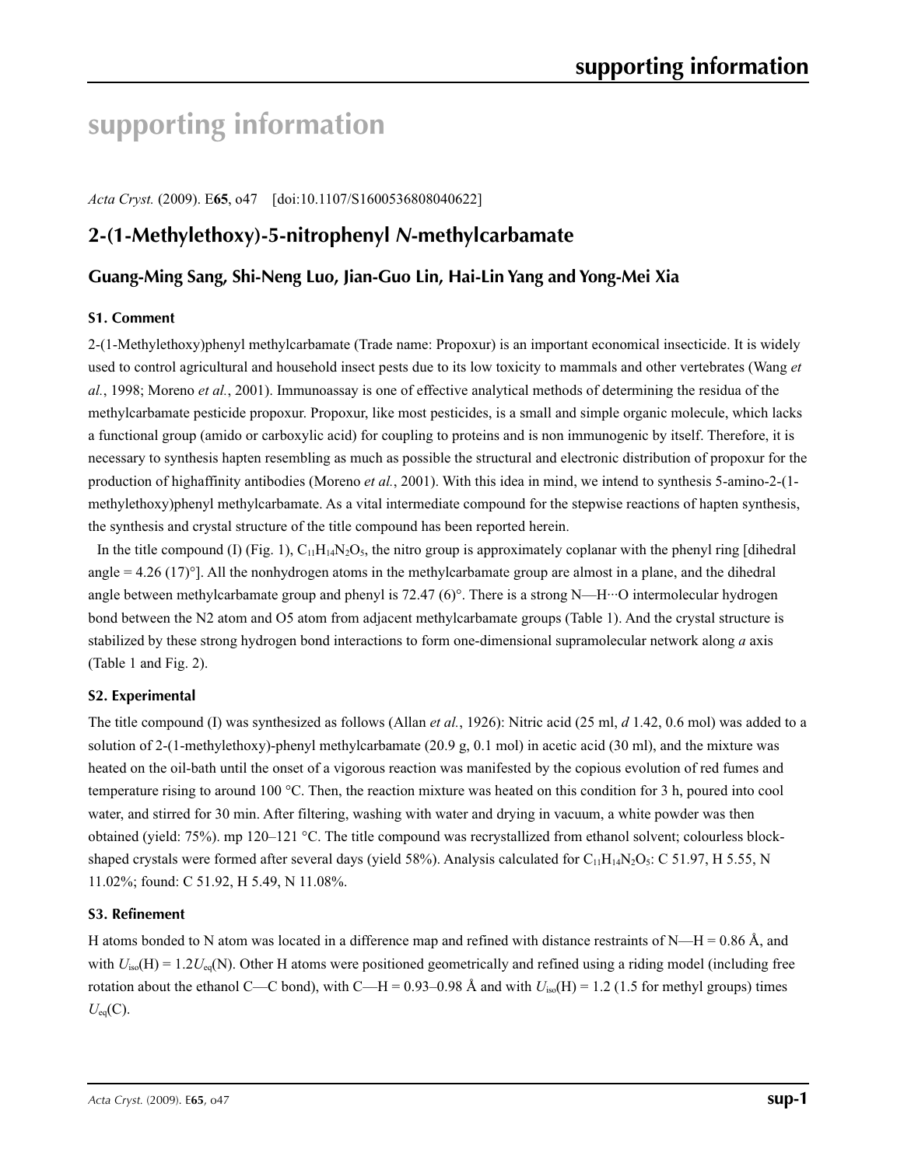# **supporting information**

*Acta Cryst.* (2009). E**65**, o47 [doi:10.1107/S1600536808040622]

## **2-(1-Methylethoxy)-5-nitrophenyl** *N***-methylcarbamate**

### **Guang-Ming Sang, Shi-Neng Luo, Jian-Guo Lin, Hai-Lin Yang and Yong-Mei Xia**

#### **S1. Comment**

2-(1-Methylethoxy)phenyl methylcarbamate (Trade name: Propoxur) is an important economical insecticide. It is widely used to control agricultural and household insect pests due to its low toxicity to mammals and other vertebrates (Wang *et al.*, 1998; Moreno *et al.*, 2001). Immunoassay is one of effective analytical methods of determining the residua of the methylcarbamate pesticide propoxur. Propoxur, like most pesticides, is a small and simple organic molecule, which lacks a functional group (amido or carboxylic acid) for coupling to proteins and is non immunogenic by itself. Therefore, it is necessary to synthesis hapten resembling as much as possible the structural and electronic distribution of propoxur for the production of highaffinity antibodies (Moreno *et al.*, 2001). With this idea in mind, we intend to synthesis 5-amino-2-(1 methylethoxy)phenyl methylcarbamate. As a vital intermediate compound for the stepwise reactions of hapten synthesis, the synthesis and crystal structure of the title compound has been reported herein.

In the title compound (I) (Fig. 1),  $C_{11}H_{14}N_2O_5$ , the nitro group is approximately coplanar with the phenyl ring [dihedral] angle  $= 4.26$  (17)<sup>o</sup>]. All the nonhydrogen atoms in the methylcarbamate group are almost in a plane, and the dihedral angle between methylcarbamate group and phenyl is 72.47 (6)°. There is a strong N—H···O intermolecular hydrogen bond between the N2 atom and O5 atom from adjacent methylcarbamate groups (Table 1). And the crystal structure is stabilized by these strong hydrogen bond interactions to form one-dimensional supramolecular network along *a* axis (Table 1 and Fig. 2).

#### **S2. Experimental**

The title compound (I) was synthesized as follows (Allan *et al.*, 1926): Nitric acid (25 ml, *d* 1.42, 0.6 mol) was added to a solution of 2-(1-methylethoxy)-phenyl methylcarbamate (20.9 g, 0.1 mol) in acetic acid (30 ml), and the mixture was heated on the oil-bath until the onset of a vigorous reaction was manifested by the copious evolution of red fumes and temperature rising to around 100 °C. Then, the reaction mixture was heated on this condition for 3 h, poured into cool water, and stirred for 30 min. After filtering, washing with water and drying in vacuum, a white powder was then obtained (yield: 75%). mp 120–121 °C. The title compound was recrystallized from ethanol solvent; colourless blockshaped crystals were formed after several days (yield 58%). Analysis calculated for  $C_{11}H_{14}N_2O_5$ : C 51.97, H 5.55, N 11.02%; found: C 51.92, H 5.49, N 11.08%.

#### **S3. Refinement**

H atoms bonded to N atom was located in a difference map and refined with distance restraints of N—H = 0.86 Å, and with  $U_{iso}(H) = 1.2U_{eq}(N)$ . Other H atoms were positioned geometrically and refined using a riding model (including free rotation about the ethanol C—C bond), with C—H = 0.93–0.98 Å and with  $U_{iso}(H) = 1.2$  (1.5 for methyl groups) times  $U_{eq}(C)$ .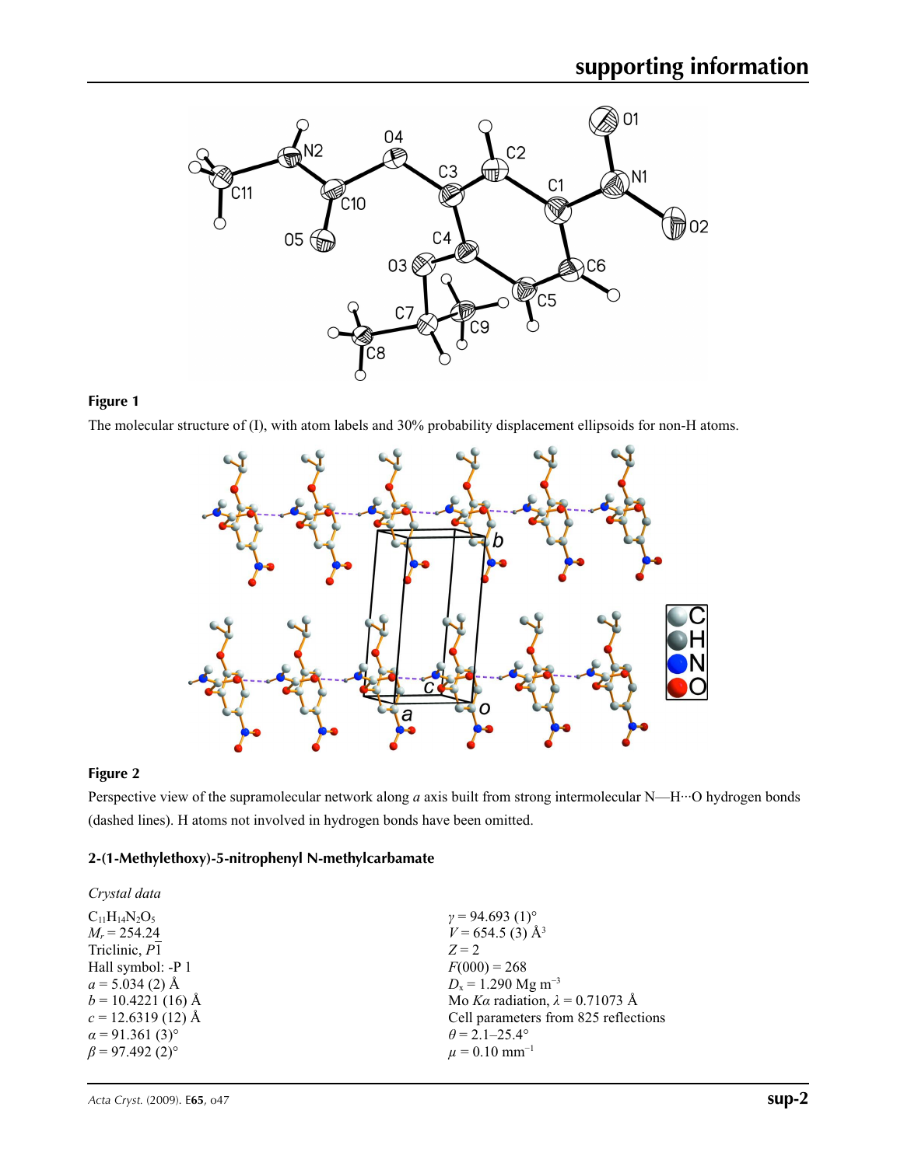

#### **Figure 1**

The molecular structure of (I), with atom labels and 30% probability displacement ellipsoids for non-H atoms.



#### **Figure 2**

Perspective view of the supramolecular network along *a* axis built from strong intermolecular N—H···O hydrogen bonds (dashed lines). H atoms not involved in hydrogen bonds have been omitted.

#### **2-(1-Methylethoxy)-5-nitrophenyl N-methylcarbamate**

| Crystal data                       |                                        |
|------------------------------------|----------------------------------------|
| $C_{11}H_{14}N_2O_5$               | $\gamma = 94.693(1)$ °                 |
| $M_r = 254.24$                     | $V = 654.5$ (3) Å <sup>3</sup>         |
| Triclinic, P1                      | $Z = 2$                                |
| Hall symbol: -P 1                  | $F(000) = 268$                         |
| $a = 5.034(2)$ Å                   | $D_x = 1.290$ Mg m <sup>-3</sup>       |
| $b = 10.4221(16)$ Å                | Mo Ka radiation, $\lambda = 0.71073$ Å |
| $c = 12.6319(12)$ Å                | Cell parameters from 825 reflections   |
| $\alpha$ = 91.361 (3) <sup>o</sup> | $\theta$ = 2.1–25.4°                   |
| $\beta$ = 97.492 (2) <sup>o</sup>  | $\mu = 0.10$ mm <sup>-1</sup>          |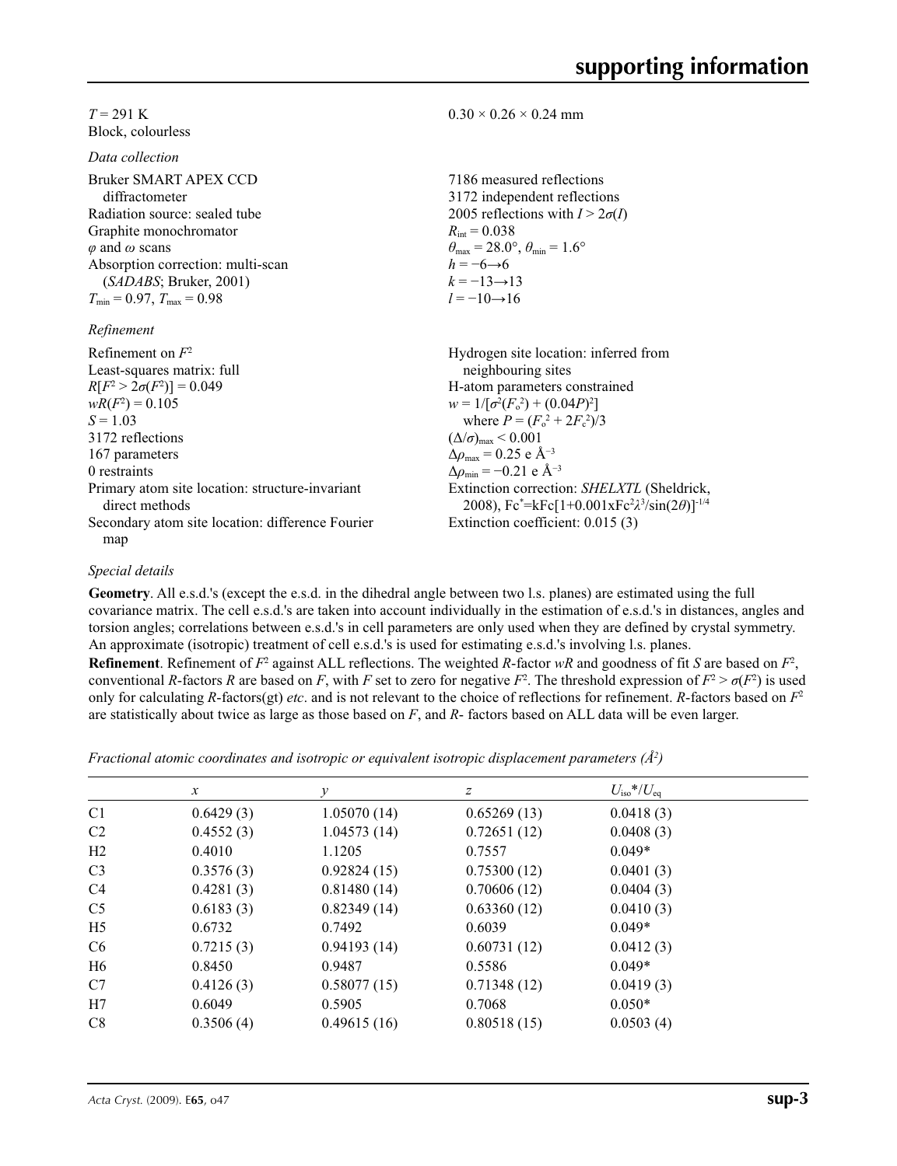| $T = 291$ K                                                                                                                                                                                                                               | $0.30 \times 0.26 \times 0.24$ mm                                                                                                                                                                                                                                                               |
|-------------------------------------------------------------------------------------------------------------------------------------------------------------------------------------------------------------------------------------------|-------------------------------------------------------------------------------------------------------------------------------------------------------------------------------------------------------------------------------------------------------------------------------------------------|
| Block, colourless                                                                                                                                                                                                                         |                                                                                                                                                                                                                                                                                                 |
| Data collection                                                                                                                                                                                                                           |                                                                                                                                                                                                                                                                                                 |
| Bruker SMART APEX CCD<br>diffractometer<br>Radiation source: sealed tube<br>Graphite monochromator<br>$\varphi$ and $\omega$ scans<br>Absorption correction: multi-scan<br>(SADABS; Bruker, 2001)<br>$T_{\min}$ = 0.97, $T_{\max}$ = 0.98 | 7186 measured reflections<br>3172 independent reflections<br>2005 reflections with $I > 2\sigma(I)$<br>$R_{\text{int}} = 0.038$<br>$\theta_{\text{max}} = 28.0^{\circ}$ , $\theta_{\text{min}} = 1.6^{\circ}$<br>$h = -6 \rightarrow 6$<br>$k = -13 \rightarrow 13$<br>$l = -10 \rightarrow 16$ |
| Refinement                                                                                                                                                                                                                                |                                                                                                                                                                                                                                                                                                 |
| Refinement on $F^2$<br>Least-squares matrix: full<br>$R[F^2 > 2\sigma(F^2)] = 0.049$                                                                                                                                                      | Hydrogen site location: inferred from<br>neighbouring sites<br>H-atom parameters constrained                                                                                                                                                                                                    |
| $wR(F^2) = 0.105$<br>$S = 1.03$                                                                                                                                                                                                           | $w = 1/[\sigma^2(F_0^2) + (0.04P)^2]$<br>where $P = (F^2 + 2F^2)/3$                                                                                                                                                                                                                             |

*S* = 1.03 3172 reflections 167 parameters 0 restraints Primary atom site location: structure-invariant direct methods Secondary atom site location: difference Fourier map where  $P = (F_0$  $+ 2F_c$  $^{2})/3$  $(\Delta/\sigma)_{\text{max}}$  < 0.001  $\Delta\rho_{\text{max}}$  = 0.25 e Å<sup>-3</sup>  $\Delta \rho_{\text{min}} = -0.21 \text{ e A}^{-3}$ Extinction correction: *SHELXTL* (Sheldrick, 2008), Fc\* =kFc[1+0.001xFc2 *λ*3 /sin(2*θ*)]-1/4 Extinction coefficient: 0.015 (3)

### *Special details*

**Geometry**. All e.s.d.'s (except the e.s.d. in the dihedral angle between two l.s. planes) are estimated using the full covariance matrix. The cell e.s.d.'s are taken into account individually in the estimation of e.s.d.'s in distances, angles and torsion angles; correlations between e.s.d.'s in cell parameters are only used when they are defined by crystal symmetry. An approximate (isotropic) treatment of cell e.s.d.'s is used for estimating e.s.d.'s involving l.s. planes.

**Refinement**. Refinement of  $F^2$  against ALL reflections. The weighted  $R$ -factor  $wR$  and goodness of fit  $S$  are based on  $F^2$ , conventional *R*-factors *R* are based on *F*, with *F* set to zero for negative  $F^2$ . The threshold expression of  $F^2 > \sigma(F^2)$  is used only for calculating *R*-factors(gt) *etc*. and is not relevant to the choice of reflections for refinement. *R*-factors based on *F*<sup>2</sup> are statistically about twice as large as those based on *F*, and *R*- factors based on ALL data will be even larger.

*Fractional atomic coordinates and isotropic or equivalent isotropic displacement parameters (Å<sup>2</sup>)* 

|                | $\boldsymbol{x}$ | $\mathcal V$ | z           | $U_{\rm iso}*/U_{\rm eq}$ |  |
|----------------|------------------|--------------|-------------|---------------------------|--|
| C <sub>1</sub> | 0.6429(3)        | 1.05070(14)  | 0.65269(13) | 0.0418(3)                 |  |
| C <sub>2</sub> | 0.4552(3)        | 1.04573(14)  | 0.72651(12) | 0.0408(3)                 |  |
| H2             | 0.4010           | 1.1205       | 0.7557      | $0.049*$                  |  |
| C <sub>3</sub> | 0.3576(3)        | 0.92824(15)  | 0.75300(12) | 0.0401(3)                 |  |
| C <sub>4</sub> | 0.4281(3)        | 0.81480(14)  | 0.70606(12) | 0.0404(3)                 |  |
| C <sub>5</sub> | 0.6183(3)        | 0.82349(14)  | 0.63360(12) | 0.0410(3)                 |  |
| H <sub>5</sub> | 0.6732           | 0.7492       | 0.6039      | $0.049*$                  |  |
| C <sub>6</sub> | 0.7215(3)        | 0.94193(14)  | 0.60731(12) | 0.0412(3)                 |  |
| H <sub>6</sub> | 0.8450           | 0.9487       | 0.5586      | $0.049*$                  |  |
| C7             | 0.4126(3)        | 0.58077(15)  | 0.71348(12) | 0.0419(3)                 |  |
| H7             | 0.6049           | 0.5905       | 0.7068      | $0.050*$                  |  |
| C8             | 0.3506(4)        | 0.49615(16)  | 0.80518(15) | 0.0503(4)                 |  |
|                |                  |              |             |                           |  |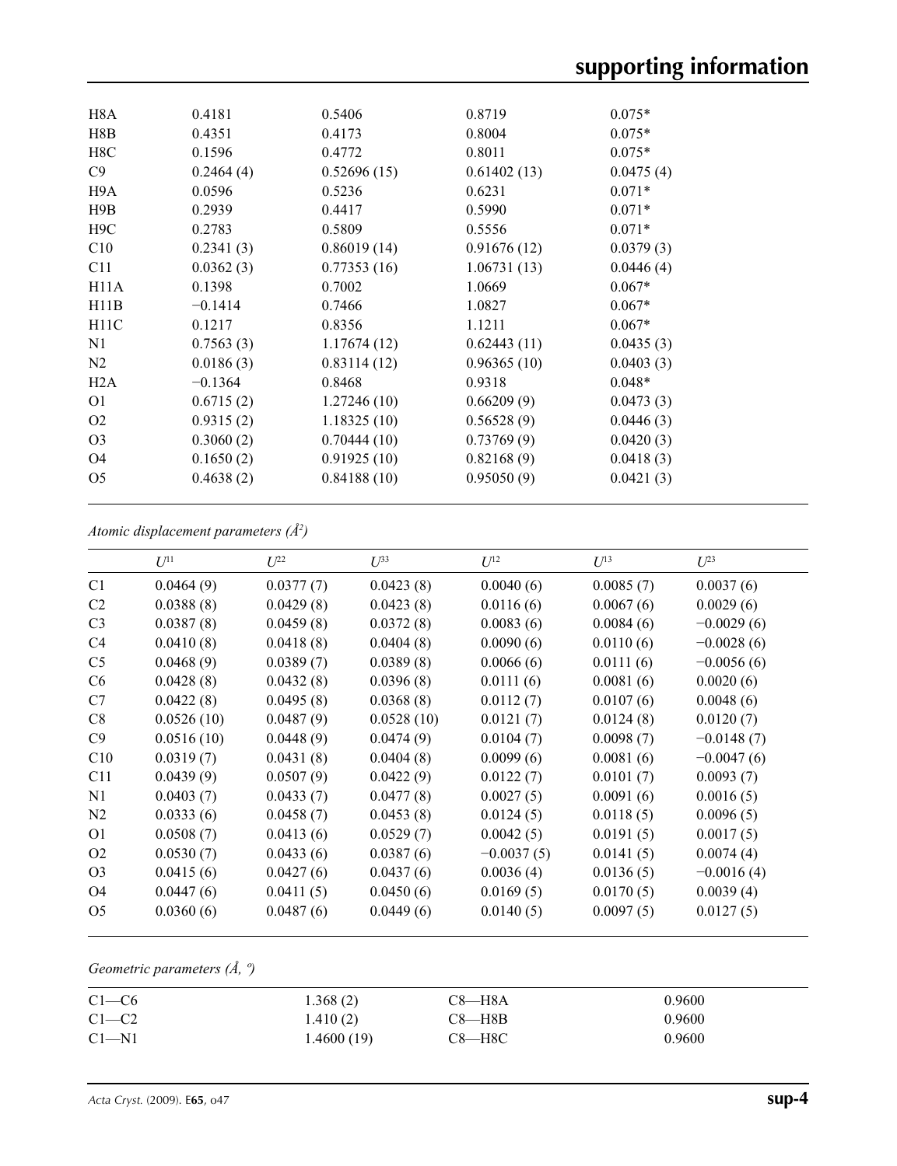| H8A               | 0.4181    | 0.5406      | 0.8719      | $0.075*$  |  |
|-------------------|-----------|-------------|-------------|-----------|--|
| H8B               | 0.4351    | 0.4173      | 0.8004      | $0.075*$  |  |
| H8C               | 0.1596    | 0.4772      | 0.8011      | $0.075*$  |  |
| C9                | 0.2464(4) | 0.52696(15) | 0.61402(13) | 0.0475(4) |  |
| H9A               | 0.0596    | 0.5236      | 0.6231      | $0.071*$  |  |
| H9B               | 0.2939    | 0.4417      | 0.5990      | $0.071*$  |  |
| H <sub>9</sub> C  | 0.2783    | 0.5809      | 0.5556      | $0.071*$  |  |
| C10               | 0.2341(3) | 0.86019(14) | 0.91676(12) | 0.0379(3) |  |
| C11               | 0.0362(3) | 0.77353(16) | 1.06731(13) | 0.0446(4) |  |
| H <sub>11</sub> A | 0.1398    | 0.7002      | 1.0669      | $0.067*$  |  |
| H11B              | $-0.1414$ | 0.7466      | 1.0827      | $0.067*$  |  |
| H11C              | 0.1217    | 0.8356      | 1.1211      | $0.067*$  |  |
| N1                | 0.7563(3) | 1.17674(12) | 0.62443(11) | 0.0435(3) |  |
| N2                | 0.0186(3) | 0.83114(12) | 0.96365(10) | 0.0403(3) |  |
| H2A               | $-0.1364$ | 0.8468      | 0.9318      | $0.048*$  |  |
| O <sub>1</sub>    | 0.6715(2) | 1.27246(10) | 0.66209(9)  | 0.0473(3) |  |
| O <sub>2</sub>    | 0.9315(2) | 1.18325(10) | 0.56528(9)  | 0.0446(3) |  |
| O <sub>3</sub>    | 0.3060(2) | 0.70444(10) | 0.73769(9)  | 0.0420(3) |  |
| O <sub>4</sub>    | 0.1650(2) | 0.91925(10) | 0.82168(9)  | 0.0418(3) |  |
| O <sub>5</sub>    | 0.4638(2) | 0.84188(10) | 0.95050(9)  | 0.0421(3) |  |
|                   |           |             |             |           |  |

*Atomic displacement parameters (Å2 )*

|                | $U^{11}$   | I/22      | $U^{33}$   | $U^{12}$     | I/13      | $L^{23}$     |
|----------------|------------|-----------|------------|--------------|-----------|--------------|
| C1             | 0.0464(9)  | 0.0377(7) | 0.0423(8)  | 0.0040(6)    | 0.0085(7) | 0.0037(6)    |
| C <sub>2</sub> | 0.0388(8)  | 0.0429(8) | 0.0423(8)  | 0.0116(6)    | 0.0067(6) | 0.0029(6)    |
| C <sub>3</sub> | 0.0387(8)  | 0.0459(8) | 0.0372(8)  | 0.0083(6)    | 0.0084(6) | $-0.0029(6)$ |
| C <sub>4</sub> | 0.0410(8)  | 0.0418(8) | 0.0404(8)  | 0.0090(6)    | 0.0110(6) | $-0.0028(6)$ |
| C <sub>5</sub> | 0.0468(9)  | 0.0389(7) | 0.0389(8)  | 0.0066(6)    | 0.0111(6) | $-0.0056(6)$ |
| C <sub>6</sub> | 0.0428(8)  | 0.0432(8) | 0.0396(8)  | 0.0111(6)    | 0.0081(6) | 0.0020(6)    |
| C7             | 0.0422(8)  | 0.0495(8) | 0.0368(8)  | 0.0112(7)    | 0.0107(6) | 0.0048(6)    |
| C8             | 0.0526(10) | 0.0487(9) | 0.0528(10) | 0.0121(7)    | 0.0124(8) | 0.0120(7)    |
| C9             | 0.0516(10) | 0.0448(9) | 0.0474(9)  | 0.0104(7)    | 0.0098(7) | $-0.0148(7)$ |
| C10            | 0.0319(7)  | 0.0431(8) | 0.0404(8)  | 0.0099(6)    | 0.0081(6) | $-0.0047(6)$ |
| C11            | 0.0439(9)  | 0.0507(9) | 0.0422(9)  | 0.0122(7)    | 0.0101(7) | 0.0093(7)    |
| N1             | 0.0403(7)  | 0.0433(7) | 0.0477(8)  | 0.0027(5)    | 0.0091(6) | 0.0016(5)    |
| N <sub>2</sub> | 0.0333(6)  | 0.0458(7) | 0.0453(8)  | 0.0124(5)    | 0.0118(5) | 0.0096(5)    |
| 01             | 0.0508(7)  | 0.0413(6) | 0.0529(7)  | 0.0042(5)    | 0.0191(5) | 0.0017(5)    |
| O <sub>2</sub> | 0.0530(7)  | 0.0433(6) | 0.0387(6)  | $-0.0037(5)$ | 0.0141(5) | 0.0074(4)    |
| O <sub>3</sub> | 0.0415(6)  | 0.0427(6) | 0.0437(6)  | 0.0036(4)    | 0.0136(5) | $-0.0016(4)$ |
| O4             | 0.0447(6)  | 0.0411(5) | 0.0450(6)  | 0.0169(5)    | 0.0170(5) | 0.0039(4)    |
| O <sub>5</sub> | 0.0360(6)  | 0.0487(6) | 0.0449(6)  | 0.0140(5)    | 0.0097(5) | 0.0127(5)    |

### *Geometric parameters (Å, º)*

| $C1-C6$   | 1.368(2)   | C8—H8A     | 0.9600 |
|-----------|------------|------------|--------|
| $C1-C2$   | 1.410(2)   | C8—H8B     | 0.9600 |
| $C1 - N1$ | 1.4600(19) | $C8 - H8C$ | 0.9600 |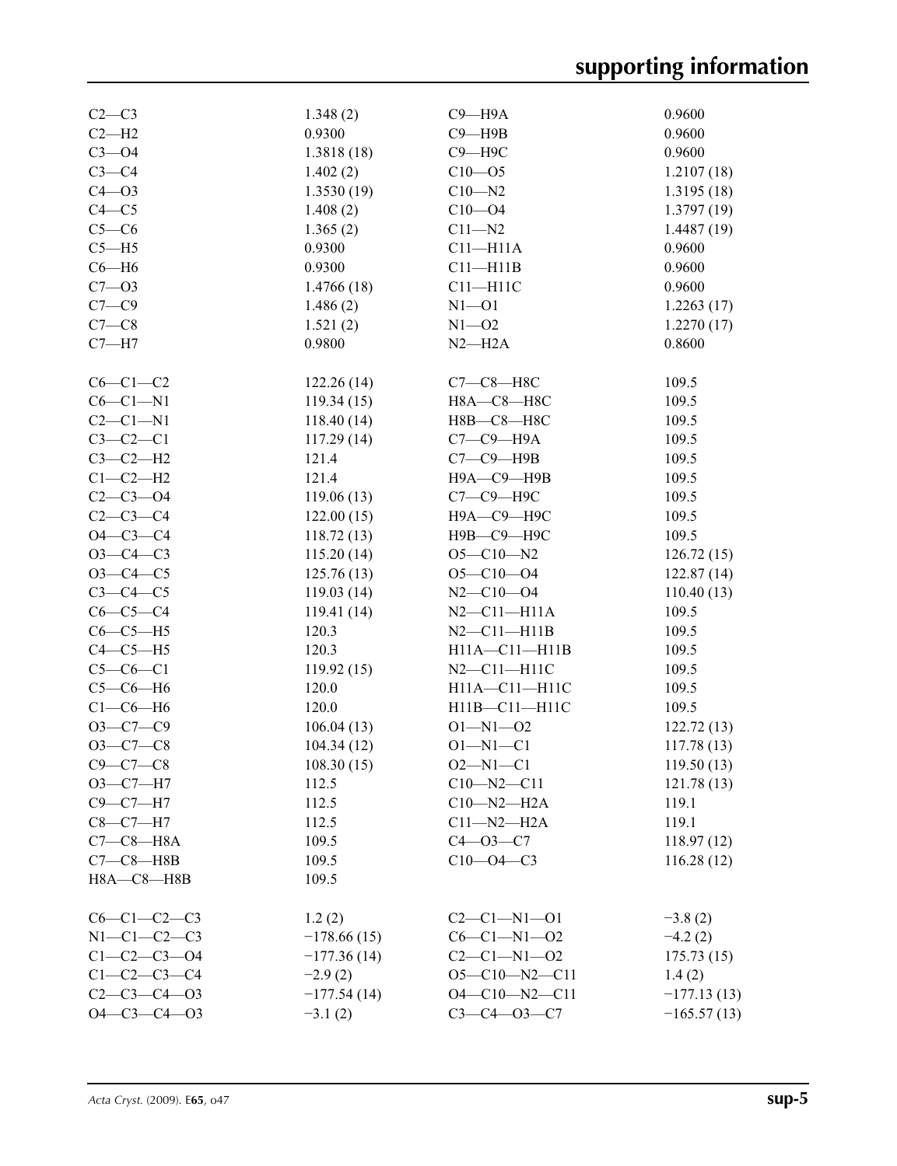# **supporting information**

| $C2-C3$             | 1.348(2)      | $C9 - H9A$            | 0.9600        |
|---------------------|---------------|-----------------------|---------------|
| $C2-H2$             | 0.9300        | $C9 - H9B$            | 0.9600        |
| $C3 - O4$           | 1.3818(18)    | $C9 - H9C$            | 0.9600        |
| $C3-C4$             | 1.402(2)      | $C10 - 05$            | 1.2107(18)    |
| $C4 - O3$           | 1.3530(19)    | $C10 - N2$            | 1.3195(18)    |
| $C4 - C5$           | 1.408(2)      | $C10 - 04$            | 1.3797(19)    |
| $C5-C6$             |               |                       |               |
|                     | 1.365(2)      | $C11 - N2$            | 1.4487(19)    |
| $C5 - H5$           | 0.9300        | $C11 - H11A$          | 0.9600        |
| $C6 - H6$           | 0.9300        | $C11 - H11B$          | 0.9600        |
| $C7 - 03$           | 1.4766(18)    | $C11 - H11C$          | 0.9600        |
| $C7 - C9$           | 1.486(2)      | $N1 - 01$             | 1.2263(17)    |
| $C7-C8$             | 1.521(2)      | $N1 - 02$             | 1.2270(17)    |
| $C7 - H7$           | 0.9800        | $N2-H2A$              | 0.8600        |
|                     |               |                       |               |
| $C6-C1-C2$          | 122.26(14)    | $C7-C8-H8C$           | 109.5         |
| $C6-C1-N1$          | 119.34(15)    | Н8А-С8-Н8С            | 109.5         |
| $C2-C1-N1$          | 118.40(14)    | Н8В-С8-Н8С            | 109.5         |
| $C3-C2-C1$          | 117.29(14)    | $C7-C9-$ H9A          | 109.5         |
| $C3-C2-H2$          | 121.4         | $C7-C9-$ H9B          | 109.5         |
| $C1-C2-H2$          | 121.4         | Н9А-С9-Н9В            | 109.5         |
| $C2 - C3 - O4$      | 119.06(13)    | С7-С9-Н9С             | 109.5         |
| $C2-C3-C4$          | 122.00(15)    | Н9А-С9-Н9С            | 109.5         |
| $O4 - C3 - C4$      | 118.72(13)    | Н9В-С9-Н9С            | 109.5         |
| $O3 - C4 - C3$      | 115.20(14)    | $O5 - C10 - N2$       | 126.72(15)    |
| $O3 - C4 - C5$      | 125.76(13)    | $O5 - C10 - O4$       | 122.87(14)    |
| $C3-C4-C5$          | 119.03(14)    | $N2 - C10 - O4$       | 110.40(13)    |
| $C6-C5-C4$          | 119.41(14)    | $N2 - C11 - H11A$     | 109.5         |
| $C6-C5-H5$          | 120.3         | $N2 - C11 - H11B$     | 109.5         |
| $C4-C5-H5$          | 120.3         | $H11A - C11 - H11B$   | 109.5         |
| $C5-C6-C1$          | 119.92(15)    | $N2-C11-H11C$         | 109.5         |
| $C5-C6-H6$          | 120.0         | H11A-C11-H11C         |               |
|                     |               |                       | 109.5         |
| $C1-C6-H6$          | 120.0         | H11B-C11-H11C         | 109.5         |
| $O3-C7-C9$          | 106.04(13)    | $O1 - N1 - O2$        | 122.72(13)    |
| $O3 - C7 - C8$      | 104.34(12)    | $O1 - N1 - C1$        | 117.78(13)    |
| $C9 - C7 - C8$      | 108.30(15)    | $O2 - N1 - C1$        | 119.50(13)    |
| $O3-C7-H7$          | 112.5         | $C10 - N2 - C11$      | 121.78(13)    |
| $C9-C7-H7$          | 112.5         | $C10 - N2 - H2A$      | 119.1         |
| $C8 - C7 - H7$      | 112.5         | $C11 - N2 - H2A$      | 119.1         |
| $C7-C8-HA$          | 109.5         | $C4 - 03 - C7$        | 118.97(12)    |
| $C7-C8—H8B$         | 109.5         | $C10 - 04 - C3$       | 116.28(12)    |
| $H8A - C8 - H8B$    | 109.5         |                       |               |
|                     |               |                       |               |
| $C6-C1-C2-C3$       | 1.2(2)        | $C2 - C1 - N1 - 01$   | $-3.8(2)$     |
| $N1-C1-C2-C3$       | $-178.66(15)$ | $C6 - C1 - N1 - 02$   | $-4.2(2)$     |
| $C1 - C2 - C3 - O4$ | $-177.36(14)$ | $C2 - C1 - N1 - 02$   | 175.73(15)    |
| $C1 - C2 - C3 - C4$ | $-2.9(2)$     | $O5-C10-N2-C11$       | 1.4(2)        |
| $C2 - C3 - C4 - 03$ | $-177.54(14)$ | $O4 - C10 - N2 - C11$ | $-177.13(13)$ |
| $O4 - C3 - C4 - O3$ | $-3.1(2)$     | $C3 - C4 - 03 - C7$   | $-165.57(13)$ |